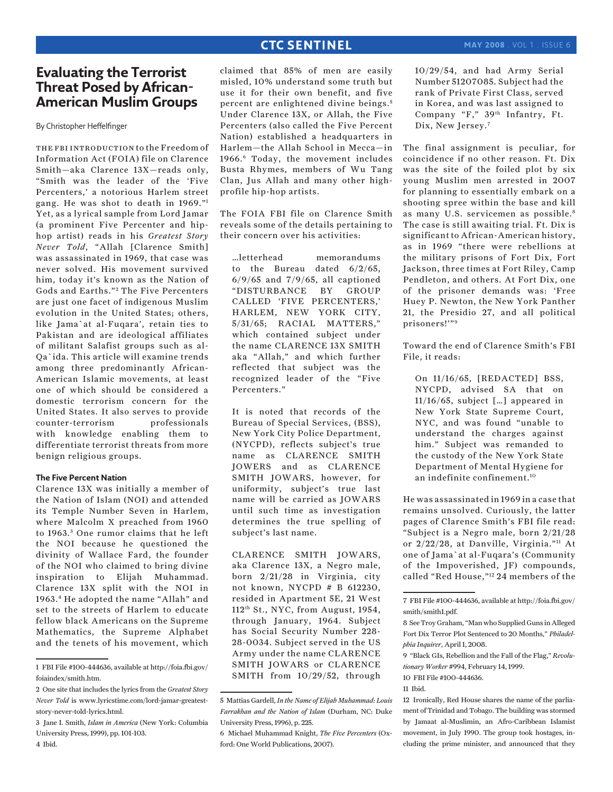## **CTC SENTINEL**

# **Evaluating the Terrorist Threat Posed by African-American Muslim Groups**

By Christopher Heffelfinger

the fbi introduction to the Freedom of Information Act (FOIA) file on Clarence Smith—aka Clarence 13X—reads only, "Smith was the leader of the 'Five Percenters,' a notorious Harlem street gang. He was shot to death in 1969."1 Yet, as a lyrical sample from Lord Jamar (a prominent Five Percenter and hiphop artist) reads in his *Greatest Story Never Told*, "Allah [Clarence Smith] was assassinated in 1969, that case was never solved. His movement survived him, today it's known as the Nation of Gods and Earths."<sup>2</sup> The Five Percenters are just one facet of indigenous Muslim evolution in the United States; others, like Jama`at al-Fuqara', retain ties to Pakistan and are ideological affiliates of militant Salafist groups such as al-Qa`ida. This article will examine trends among three predominantly African-American Islamic movements, at least one of which should be considered a domestic terrorism concern for the United States. It also serves to provide counter-terrorism professionals with knowledge enabling them to differentiate terrorist threats from more benign religious groups.

### **The Five Percent Nation**

Clarence 13X was initially a member of the Nation of Islam (NOI) and attended its Temple Number Seven in Harlem, where Malcolm X preached from 1960 to 1963. 3 One rumor claims that he left the NOI because he questioned the divinity of Wallace Fard, the founder of the NOI who claimed to bring divine inspiration to Elijah Muhammad. Clarence 13X split with the NOI in 1963.4 He adopted the name "Allah" and set to the streets of Harlem to educate fellow black Americans on the Supreme Mathematics, the Supreme Alphabet and the tenets of his movement, which

claimed that 85% of men are easily misled, 10% understand some truth but use it for their own benefit, and five percent are enlightened divine beings.<sup>5</sup> Under Clarence 13X, or Allah, the Five Percenters (also called the Five Percent Nation) established a headquarters in Harlem—the Allah School in Mecca—in 1966.6 Today, the movement includes Busta Rhymes, members of Wu Tang Clan, Jus Allah and many other highprofile hip-hop artists.

The FOIA FBI file on Clarence Smith reveals some of the details pertaining to their concern over his activities:

…letterhead memorandums to the Bureau dated 6/2/65, 6/9/65 and 7/9/65, all captioned "DISTURBANCE BY GROUP CALLED 'FIVE PERCENTERS,' HARLEM, NEW YORK CITY, 5/31/65; RACIAL MATTERS," which contained subject under the name CLARENCE 13X SMITH aka "Allah," and which further reflected that subject was the recognized leader of the "Five Percenters."

It is noted that records of the Bureau of Special Services, (BSS), New York City Police Department, (NYCPD), reflects subject's true name as CLARENCE SMITH JOWERS and as CLARENCE SMITH JOWARS, however, for uniformity, subject's true last name will be carried as JOWARS until such time as investigation determines the true spelling of subject's last name.

CLARENCE SMITH JOWARS, aka Clarence 13X, a Negro male, born 2/21/28 in Virginia, city not known, NYCPD # B 612230, resided in Apartment 5E, 21 West 112th St., NYC, from August, 1954, through January, 1964. Subject has Social Security Number 228- 28-0034. Subject served in the US Army under the name CLARENCE SMITH JOWARS or CLARENCE SMITH from 10/29/52, through 10/29/54, and had Army Serial Number 51207085. Subject had the rank of Private First Class, served in Korea, and was last assigned to Company "F," 39th Infantry, Ft. Dix, New Jersey.<sup>7</sup>

The final assignment is peculiar, for coincidence if no other reason. Ft. Dix was the site of the foiled plot by six young Muslim men arrested in 2007 for planning to essentially embark on a shooting spree within the base and kill as many U.S. servicemen as possible.<sup>8</sup> The case is still awaiting trial. Ft. Dix is significant to African-American history, as in 1969 "there were rebellions at the military prisons of Fort Dix, Fort Jackson, three times at Fort Riley, Camp Pendleton, and others. At Fort Dix, one of the prisoner demands was: 'Free Huey P. Newton, the New York Panther 21, the Presidio 27, and all political prisoners!'"9

Toward the end of Clarence Smith's FBI File, it reads:

On 11/16/65, [REDACTED] BSS, NYCPD, advised SA that on 11/16/65, subject […] appeared in New York State Supreme Court, NYC, and was found "unable to understand the charges against him." Subject was remanded to the custody of the New York State Department of Mental Hygiene for an indefinite confinement.10

He was assassinated in 1969 in a case that remains unsolved. Curiously, the latter pages of Clarence Smith's FBI file read: "Subject is a Negro male, born 2/21/28 or 2/22/28, at Danville, Virginia."11 At one of Jama`at al-Fuqara's (Community of the Impoverished, JF) compounds, called "Red House,"12 24 members of the

<sup>1</sup> FBI File #100-444636, available at http://foia.fbi.gov/ foiaindex/smith.htm.

<sup>2</sup> One site that includes the lyrics from the *Greatest Story Never Told* is www.lyricstime.com/lord-jamar-greateststory-never-told-lyrics.html.

<sup>3</sup> Jane I. Smith, *Islam in America* (New York: Columbia University Press, 1999), pp. 101-103.

<sup>5</sup> Mattias Gardell, *In the Name of Elijah Muhammad: Louis Farrakhan and the Nation of Islam* (Durham, NC: Duke University Press, 1996), p. 225.

<sup>6</sup> Michael Muhammad Knight, *The Five Percenters* (Oxford: One World Publications, 2007).

<sup>7</sup> FBI File #100-444636, available at http://foia.fbi.gov/ smith/smith1.pdf.

<sup>8</sup> See Troy Graham, "Man who Supplied Guns in Alleged Fort Dix Terror Plot Sentenced to 20 Months," *Philadelphia Inquirer*, April 1, 2008.

<sup>9 &</sup>quot;Black GIs, Rebellion and the Fall of the Flag," *Revolutionary Worker* #994, February 14, 1999.

<sup>10</sup> FBI File #100-444636.

<sup>11</sup> Ibid.

<sup>12</sup> Ironically, Red House shares the name of the parliament of Trinidad and Tobago. The building was stormed by Jamaat al-Muslimin, an Afro-Caribbean Islamist movement, in July 1990. The group took hostages, including the prime minister, and announced that they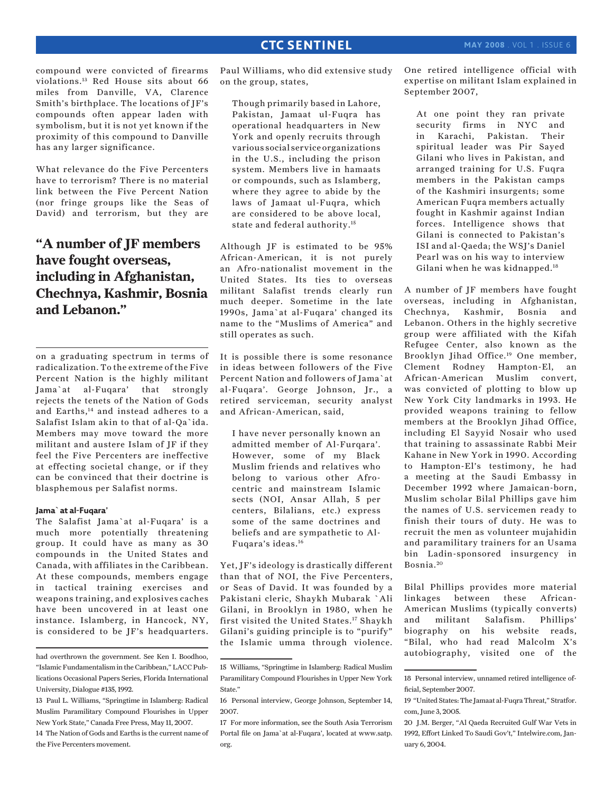compound were convicted of firearms violations.13 Red House sits about 66 miles from Danville, VA, Clarence Smith's birthplace. The locations of JF's compounds often appear laden with symbolism, but it is not yet known if the proximity of this compound to Danville has any larger significance.

What relevance do the Five Percenters have to terrorism? There is no material link between the Five Percent Nation (nor fringe groups like the Seas of David) and terrorism, but they are

# **"A number of JF members have fought overseas, including in Afghanistan, Chechnya, Kashmir, Bosnia and Lebanon."**

on a graduating spectrum in terms of radicalization. To the extreme of the Five Percent Nation is the highly militant Jama`at al-Fuqara' that strongly rejects the tenets of the Nation of Gods and Earths,14 and instead adheres to a Salafist Islam akin to that of al-Qa`ida. Members may move toward the more militant and austere Islam of JF if they feel the Five Percenters are ineffective at effecting societal change, or if they can be convinced that their doctrine is blasphemous per Salafist norms.

#### **Jama`at al-Fuqara'**

The Salafist Jama`at al-Fuqara' is a much more potentially threatening group. It could have as many as 30 compounds in the United States and Canada, with affiliates in the Caribbean. At these compounds, members engage in tactical training exercises and weapons training, and explosives caches have been uncovered in at least one instance. Islamberg, in Hancock, NY, is considered to be JF's headquarters. Paul Williams, who did extensive study on the group, states,

Though primarily based in Lahore, Pakistan, Jamaat ul-Fuqra has operational headquarters in New York and openly recruits through various social service organizations in the U.S., including the prison system. Members live in hamaats or compounds, such as Islamberg, where they agree to abide by the laws of Jamaat ul-Fuqra, which are considered to be above local, state and federal authority.15

Although JF is estimated to be 95% African-American, it is not purely an Afro-nationalist movement in the United States. Its ties to overseas militant Salafist trends clearly run much deeper. Sometime in the late 1990s, Jama`at al-Fuqara' changed its name to the "Muslims of America" and still operates as such.

It is possible there is some resonance in ideas between followers of the Five Percent Nation and followers of Jama`at al-Fuqara'. George Johnson, Jr., a retired serviceman, security analyst and African-American, said,

I have never personally known an admitted member of Al-Furqara'. However, some of my Black Muslim friends and relatives who belong to various other Afrocentric and mainstream Islamic sects (NOI, Ansar Allah, 5 per centers, Bilalians, etc.) express some of the same doctrines and beliefs and are sympathetic to Al-Fuqara's ideas.16

Yet, JF's ideology is drastically different than that of NOI, the Five Percenters, or Seas of David. It was founded by a Pakistani cleric, Shaykh Mubarak `Ali Gilani, in Brooklyn in 1980, when he first visited the United States.17 Shaykh Gilani's guiding principle is to "purify" the Islamic umma through violence. One retired intelligence official with expertise on militant Islam explained in September 2007,

At one point they ran private security firms in NYC and in Karachi, Pakistan. Their spiritual leader was Pir Sayed Gilani who lives in Pakistan, and arranged training for U.S. Fuqra members in the Pakistan camps of the Kashmiri insurgents; some American Fuqra members actually fought in Kashmir against Indian forces. Intelligence shows that Gilani is connected to Pakistan's ISI and al-Qaeda; the WSJ's Daniel Pearl was on his way to interview Gilani when he was kidnapped.18

A number of JF members have fought overseas, including in Afghanistan, Chechnya, Kashmir, Bosnia and Lebanon. Others in the highly secretive group were affiliated with the Kifah Refugee Center, also known as the Brooklyn Jihad Office.19 One member, Clement Rodney Hampton-El, an African-American Muslim convert, was convicted of plotting to blow up New York City landmarks in 1993. He provided weapons training to fellow members at the Brooklyn Jihad Office, including El Sayyid Nosair who used that training to assassinate Rabbi Meir Kahane in New York in 1990. According to Hampton-El's testimony, he had a meeting at the Saudi Embassy in December 1992 where Jamaican-born, Muslim scholar Bilal Phillips gave him the names of U.S. servicemen ready to finish their tours of duty. He was to recruit the men as volunteer mujahidin and paramilitary trainers for an Usama bin Ladin-sponsored insurgency in Bosnia. <sup>20</sup>

Bilal Phillips provides more material linkages between these African-American Muslims (typically converts) and militant Salafism. Phillips' biography on his website reads, "Bilal, who had read Malcolm X's autobiography, visited one of the

had overthrown the government. See Ken I. Boodhoo, "Islamic Fundamentalism in the Caribbean," LACC Publications Occasional Papers Series, Florida International University, Dialogue #135, 1992.

<sup>13</sup> Paul L. Williams, "Springtime in Islamberg: Radical Muslim Paramilitary Compound Flourishes in Upper New York State," Canada Free Press, May 11, 2007. 14 The Nation of Gods and Earths is the current name of the Five Percenters movement.

<sup>15</sup> Williams, "Springtime in Islamberg: Radical Muslim Paramilitary Compound Flourishes in Upper New York State."

<sup>16</sup> Personal interview, George Johnson, September 14, 2007.

<sup>17</sup> For more information, see the South Asia Terrorism Portal file on Jama`at al-Fuqara', located at www.satp. org.

<sup>18</sup> Personal interview, unnamed retired intelligence official, September 2007.

<sup>19 &</sup>quot;United States: The Jamaat al-Fuqra Threat," Stratfor. com, June 3, 2005.

<sup>20</sup> J.M. Berger, "Al Qaeda Recruited Gulf War Vets in 1992, Effort Linked To Saudi Gov't," Intelwire.com, January 6, 2004.